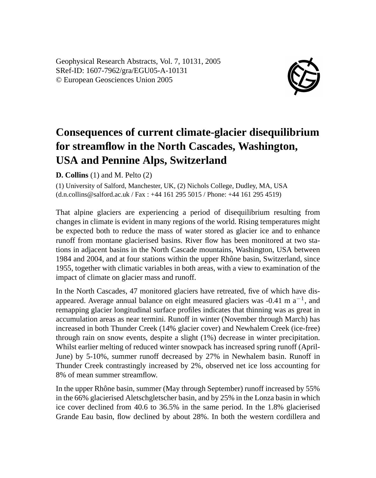Geophysical Research Abstracts, Vol. 7, 10131, 2005 SRef-ID: 1607-7962/gra/EGU05-A-10131 © European Geosciences Union 2005



## **Consequences of current climate-glacier disequilibrium for streamflow in the North Cascades, Washington, USA and Pennine Alps, Switzerland**

**D. Collins** (1) and M. Pelto (2)

(1) University of Salford, Manchester, UK, (2) Nichols College, Dudley, MA, USA (d.n.collins@salford.ac.uk / Fax : +44 161 295 5015 / Phone: +44 161 295 4519)

That alpine glaciers are experiencing a period of disequilibrium resulting from changes in climate is evident in many regions of the world. Rising temperatures might be expected both to reduce the mass of water stored as glacier ice and to enhance runoff from montane glacierised basins. River flow has been monitored at two stations in adjacent basins in the North Cascade mountains, Washington, USA between 1984 and 2004, and at four stations within the upper Rhône basin, Switzerland, since 1955, together with climatic variables in both areas, with a view to examination of the impact of climate on glacier mass and runoff.

In the North Cascades, 47 monitored glaciers have retreated, five of which have disappeared. Average annual balance on eight measured glaciers was -0.41 m  $a^{-1}$ , and remapping glacier longitudinal surface profiles indicates that thinning was as great in accumulation areas as near termini. Runoff in winter (November through March) has increased in both Thunder Creek (14% glacier cover) and Newhalem Creek (ice-free) through rain on snow events, despite a slight (1%) decrease in winter precipitation. Whilst earlier melting of reduced winter snowpack has increased spring runoff (April-June) by 5-10%, summer runoff decreased by 27% in Newhalem basin. Runoff in Thunder Creek contrastingly increased by 2%, observed net ice loss accounting for 8% of mean summer streamflow.

In the upper Rhône basin, summer (May through September) runoff increased by 55% in the 66% glacierised Aletschgletscher basin, and by 25% in the Lonza basin in which ice cover declined from 40.6 to 36.5% in the same period. In the 1.8% glacierised Grande Eau basin, flow declined by about 28%. In both the western cordillera and